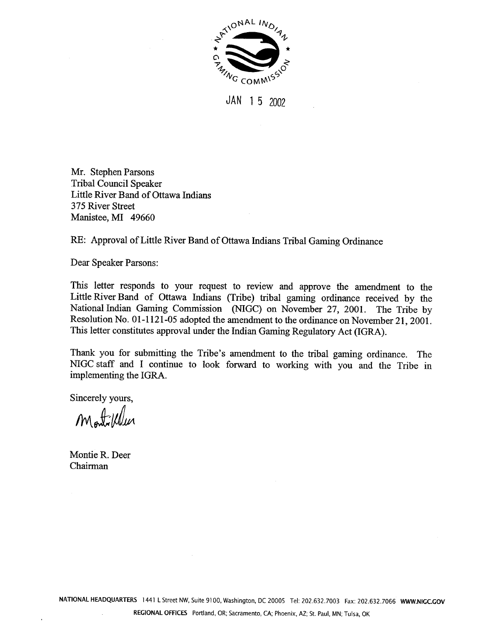

**JAN** 1 5 2002

Mr. Stephen Parsons Tribal Council Speaker Little River Band of Ottawa Indians 375 River Street Manistee, MI **49660** 

RE: Approval of Little River Band of Ottawa Indians Tribal Gaming Ordinance

Dear Speaker Parsons:

This letter responds to your request to review and approve the amendment to the Little River Band of Ottawa Indians (Tribe) tribal gaming ordinance received by the National Indian Gaming Commission (NIGC) on November 27, 2001. The Tribe by Resolution No. 01-1121-05 adopted the amendment to the ordinance on November 21, 2001. This letter constitutes approval under the Indian Gaming Regulatory Act (IGRA).

Thank you for submitting the Tribe's amendment to the tribal gaming ordinance. The NIGC staff and I continue to look forward to working with you and the Tribe in implementing the IGRA.

Sincerely yours,

Montille

Montie R. Deer Chairman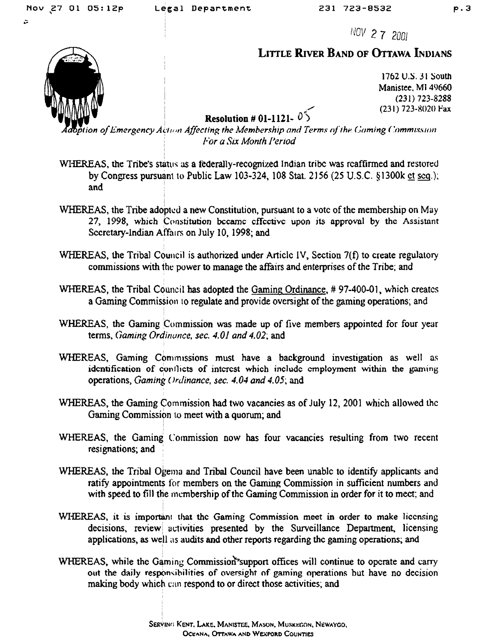$\overline{a}$ 

NOV 2 7 2001

## **LITTLE RIVER BAND OF OTTAWA INDIANS**

1762 U.S. 31 South Manistee, MI 49660  $(231)$  723-8288 (231) 723-8020 Fax

## Resolution # 01-1121- $05$

ption of Emergency Action Affecting the Membership and Terms of the Gaming Commission For a Six Month Period

- WHEREAS, the Tribe's status as a federally-recognized Indian tribe was reaffirmed and restored by Congress pursuant to Public Law 103-324, 108 Stat. 2156 (25 U.S.C. §1300k et seq.); and
- WHEREAS, the Tribe adopted a new Constitution, pursuant to a vote of the membership on May 27, 1998, which Constitution became effective upon its approval by the Assistant Secretary-Indian Affairs on July 10, 1998; and
- WHEREAS, the Tribal Council is authorized under Article IV, Section 7(f) to create regulatory commissions with the power to manage the affairs and enterprises of the Tribe; and
- WHEREAS, the Tribal Council has adopted the Gaming Ordinance, #97-400-01, which creates a Gaming Commission to regulate and provide oversight of the gaming operations; and
- WHEREAS, the Gaming Commission was made up of five members appointed for four year terms, Gaming Ordinance, sec. 4.01 and 4.02; and
- WHEREAS, Gaming Commissions must have a background investigation as well as identification of conflicts of interest which include employment within the gaming operations, Gaming Ordinance, sec. 4.04 and 4.05; and
- WHEREAS, the Gaming Commission had two vacancies as of July 12, 2001 which allowed the Gaming Commission to meet with a quorum; and
- WHEREAS, the Gaming Commission now has four vacancies resulting from two recent resignations; and
- WHEREAS, the Tribal Ogema and Tribal Council have been unable to identify applicants and ratify appointments for members on the Gaming Commission in sufficient numbers and with speed to fill the membership of the Gaming Commission in order for it to meet; and
- WHEREAS, it is important that the Gaming Commission meet in order to make licensing decisions, review activities presented by the Surveillance Department, licensing applications, as well as audits and other reports regarding the gaming operations; and
- WHEREAS, while the Gaming Commission support offices will continue to operate and carry out the daily responsibilities of oversight of gaming operations but have no decision making body which can respond to or direct those activities; and